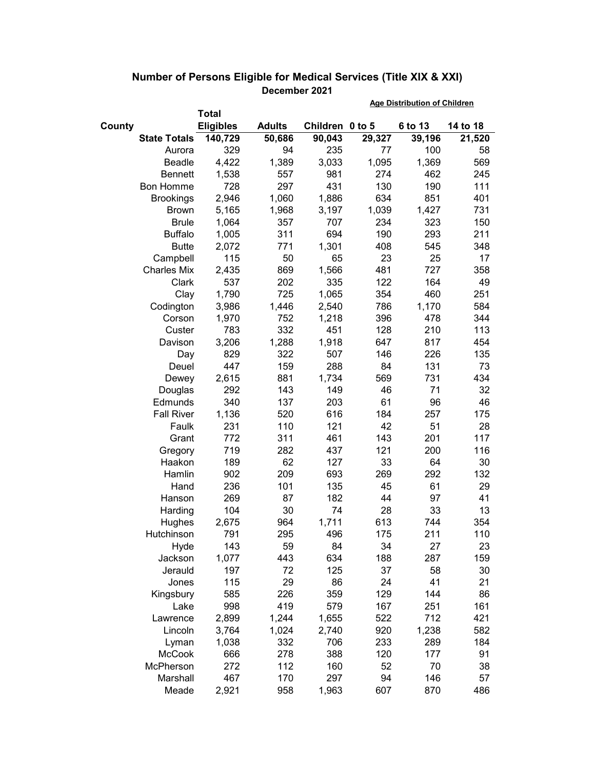|        |                     |                  |               |                 | <b>Age Distribution of Children</b> |         |          |  |
|--------|---------------------|------------------|---------------|-----------------|-------------------------------------|---------|----------|--|
|        |                     | <b>Total</b>     |               |                 |                                     |         |          |  |
| County |                     | <b>Eligibles</b> | <b>Adults</b> | Children 0 to 5 |                                     | 6 to 13 | 14 to 18 |  |
|        | <b>State Totals</b> | 140,729          | 50,686        | 90,043          | 29,327                              | 39,196  | 21,520   |  |
|        | Aurora              | 329              | 94            | 235             | 77                                  | 100     | 58       |  |
|        | Beadle              | 4,422            | 1,389         | 3,033           | 1,095                               | 1,369   | 569      |  |
|        | <b>Bennett</b>      | 1,538            | 557           | 981             | 274                                 | 462     | 245      |  |
|        | <b>Bon Homme</b>    | 728              | 297           | 431             | 130                                 | 190     | 111      |  |
|        | <b>Brookings</b>    | 2,946            | 1,060         | 1,886           | 634                                 | 851     | 401      |  |
|        | <b>Brown</b>        | 5,165            | 1,968         | 3,197           | 1,039                               | 1,427   | 731      |  |
|        | <b>Brule</b>        | 1,064            | 357           | 707             | 234                                 | 323     | 150      |  |
|        | <b>Buffalo</b>      | 1,005            | 311           | 694             | 190                                 | 293     | 211      |  |
|        | <b>Butte</b>        | 2,072            | 771           | 1,301           | 408                                 | 545     | 348      |  |
|        | Campbell            | 115              | 50            | 65              | 23                                  | 25      | 17       |  |
|        | <b>Charles Mix</b>  | 2,435            | 869           | 1,566           | 481                                 | 727     | 358      |  |
|        | Clark               | 537              | 202           | 335             | 122                                 | 164     | 49       |  |
|        | Clay                | 1,790            | 725           | 1,065           | 354                                 | 460     | 251      |  |
|        | Codington           | 3,986            | 1,446         | 2,540           | 786                                 | 1,170   | 584      |  |
|        | Corson              | 1,970            | 752           | 1,218           | 396                                 | 478     | 344      |  |
|        | Custer              | 783              | 332           | 451             | 128                                 | 210     | 113      |  |
|        | Davison             | 3,206            | 1,288         | 1,918           | 647                                 | 817     | 454      |  |
|        | Day                 | 829              | 322           | 507             | 146                                 | 226     | 135      |  |
|        | Deuel               | 447              | 159           | 288             | 84                                  | 131     | 73       |  |
|        | Dewey               | 2,615            | 881           | 1,734           | 569                                 | 731     | 434      |  |
|        | Douglas             | 292              | 143           | 149             | 46                                  | 71      | 32       |  |
|        | Edmunds             | 340              | 137           | 203             | 61                                  | 96      | 46       |  |
|        | <b>Fall River</b>   | 1,136            | 520           | 616             | 184                                 | 257     | 175      |  |
|        | Faulk               | 231              | 110           | 121             | 42                                  | 51      | 28       |  |
|        | Grant               | 772              | 311           | 461             | 143                                 | 201     | 117      |  |
|        | Gregory             | 719              | 282           | 437             | 121                                 | 200     | 116      |  |
|        | Haakon              | 189              | 62            | 127             | 33                                  | 64      | 30       |  |
|        | Hamlin              | 902              | 209           | 693             | 269                                 | 292     | 132      |  |
|        | Hand                | 236              | 101           | 135             | 45                                  | 61      | 29       |  |
|        | Hanson              | 269              | 87            | 182             | 44                                  | 97      | 41       |  |
|        | Harding             | 104              | 30            | 74              | 28                                  | 33      | 13       |  |
|        | Hughes              | 2,675            | 964           | 1,711           | 613                                 | 744     | 354      |  |
|        | Hutchinson          | 791              | 295           | 496             | 175                                 | 211     | 110      |  |
|        | Hyde                | 143              | 59            | 84              | 34                                  | 27      | 23       |  |
|        | Jackson             | 1,077            | 443           | 634             | 188                                 | 287     | 159      |  |
|        | Jerauld             | 197              | 72            | 125             | 37                                  | 58      | 30       |  |
|        | Jones               | 115              | 29            | 86              | 24                                  | 41      | 21       |  |
|        | Kingsbury           | 585              | 226           | 359             | 129                                 | 144     | 86       |  |
|        | Lake                | 998              | 419           | 579             | 167                                 | 251     | 161      |  |
|        | Lawrence            | 2,899            | 1,244         | 1,655           | 522                                 | 712     | 421      |  |
|        | Lincoln             | 3,764            | 1,024         | 2,740           | 920                                 | 1,238   | 582      |  |
|        | Lyman               | 1,038            | 332           | 706             | 233                                 | 289     | 184      |  |
|        | McCook              | 666              | 278           | 388             | 120                                 | 177     | 91       |  |
|        | McPherson           | 272              | 112           | 160             | 52                                  | 70      | 38       |  |
|        | Marshall            | 467              | 170           | 297             | 94                                  | 146     | 57       |  |
|        | Meade               | 2,921            | 958           | 1,963           | 607                                 | 870     | 486      |  |

## **Number of Persons Eligible for Medical Services (Title XIX & XXI) December 2021**